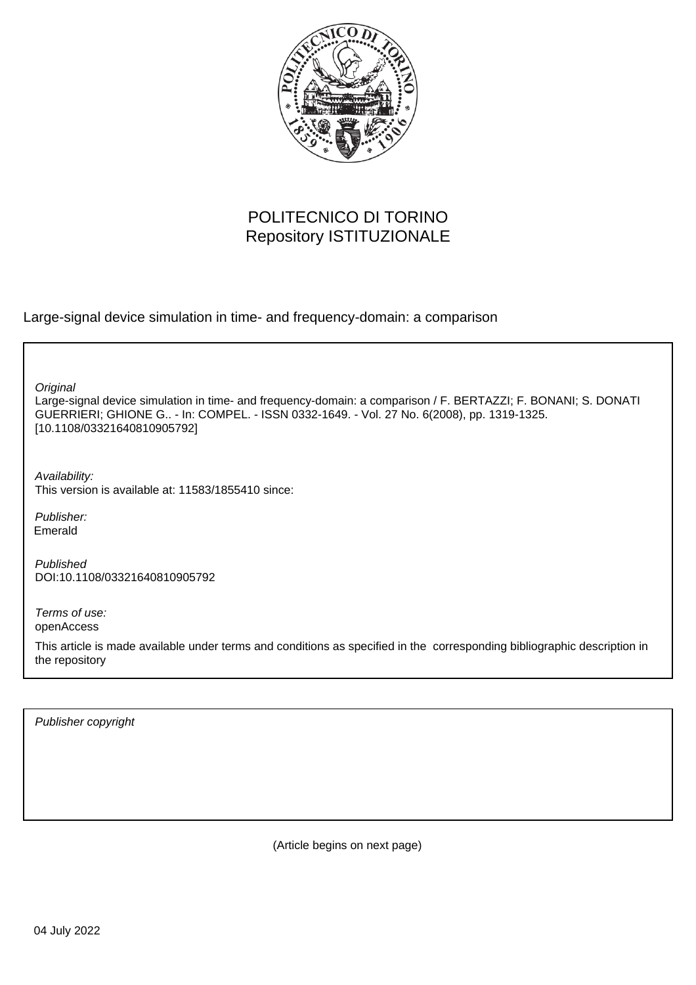

# POLITECNICO DI TORINO Repository ISTITUZIONALE

Large-signal device simulation in time- and frequency-domain: a comparison

Large-signal device simulation in time- and frequency-domain: a comparison / F. BERTAZZI; F. BONANI; S. DONATI GUERRIERI; GHIONE G.. - In: COMPEL. - ISSN 0332-1649. - Vol. 27 No. 6(2008), pp. 1319-1325. [10.1108/03321640810905792] **Original** 

Availability: This version is available at: 11583/1855410 since:

Publisher: Emerald

Published DOI:10.1108/03321640810905792

Terms of use: openAccess

This article is made available under terms and conditions as specified in the corresponding bibliographic description in the repository

Publisher copyright

(Article begins on next page)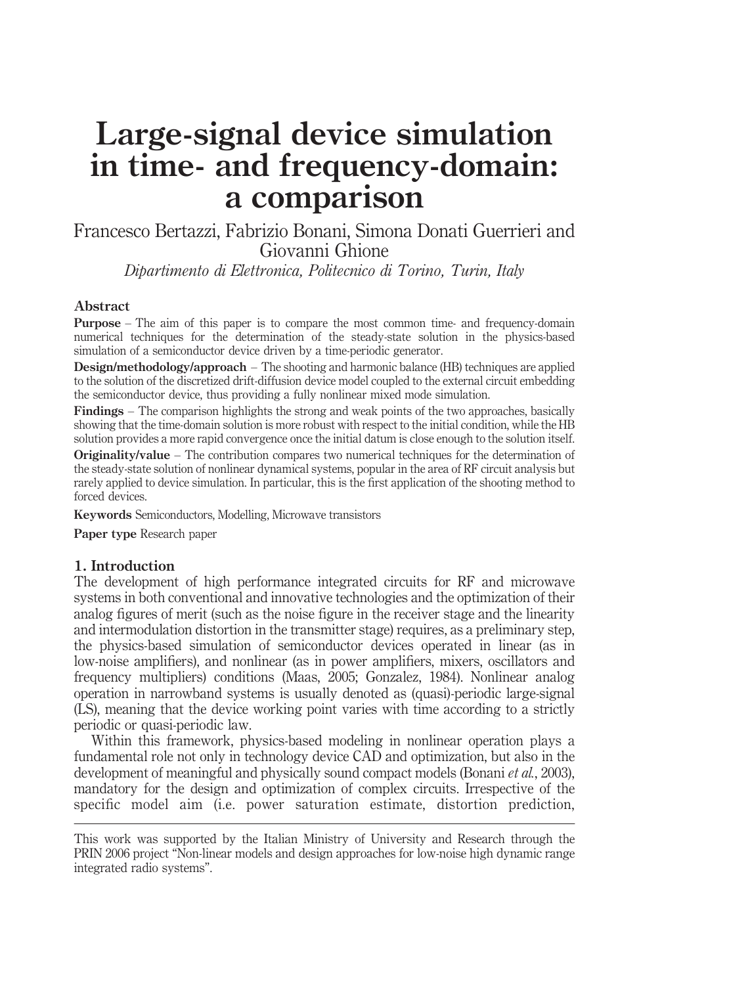# Large-signal device simulation in time- and frequency-domain: a comparison

Francesco Bertazzi, Fabrizio Bonani, Simona Donati Guerrieri and Giovanni Ghione

Dipartimento di Elettronica, Politecnico di Torino, Turin, Italy

# Abstract

Purpose – The aim of this paper is to compare the most common time- and frequency-domain numerical techniques for the determination of the steady-state solution in the physics-based simulation of a semiconductor device driven by a time-periodic generator.

Design/methodology/approach – The shooting and harmonic balance (HB) techniques are applied to the solution of the discretized drift-diffusion device model coupled to the external circuit embedding the semiconductor device, thus providing a fully nonlinear mixed mode simulation.

Findings – The comparison highlights the strong and weak points of the two approaches, basically showing that the time-domain solution is more robust with respect to the initial condition, while the HB solution provides a more rapid convergence once the initial datum is close enough to the solution itself.

Originality/value – The contribution compares two numerical techniques for the determination of the steady-state solution of nonlinear dynamical systems, popular in the area of RF circuit analysis but rarely applied to device simulation. In particular, this is the first application of the shooting method to forced devices.

Keywords Semiconductors, Modelling, Microwave transistors

Paper type Research paper

# 1. Introduction

The development of high performance integrated circuits for RF and microwave systems in both conventional and innovative technologies and the optimization of their analog figures of merit (such as the noise figure in the receiver stage and the linearity and intermodulation distortion in the transmitter stage) requires, as a preliminary step, the physics-based simulation of semiconductor devices operated in linear (as in low-noise amplifiers), and nonlinear (as in power amplifiers, mixers, oscillators and frequency multipliers) conditions (Maas, 2005; Gonzalez, 1984). Nonlinear analog operation in narrowband systems is usually denoted as (quasi)-periodic large-signal (LS), meaning that the device working point varies with time according to a strictly periodic or quasi-periodic law.

Within this framework, physics-based modeling in nonlinear operation plays a fundamental role not only in technology device CAD and optimization, but also in the development of meaningful and physically sound compact models (Bonani et al., 2003), mandatory for the design and optimization of complex circuits. Irrespective of the specific model aim (i.e. power saturation estimate, distortion prediction,

This work was supported by the Italian Ministry of University and Research through the PRIN 2006 project "Non-linear models and design approaches for low-noise high dynamic range integrated radio systems".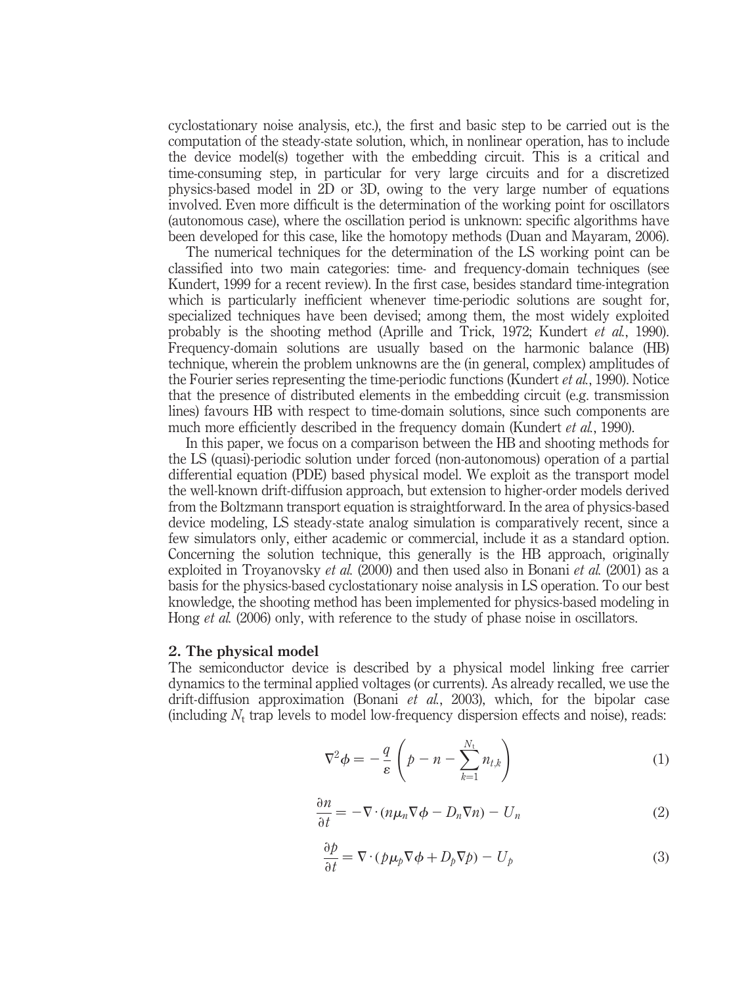cyclostationary noise analysis, etc.), the first and basic step to be carried out is the computation of the steady-state solution, which, in nonlinear operation, has to include the device model(s) together with the embedding circuit. This is a critical and time-consuming step, in particular for very large circuits and for a discretized physics-based model in 2D or 3D, owing to the very large number of equations involved. Even more difficult is the determination of the working point for oscillators (autonomous case), where the oscillation period is unknown: specific algorithms have been developed for this case, like the homotopy methods (Duan and Mayaram, 2006).

The numerical techniques for the determination of the LS working point can be classified into two main categories: time- and frequency-domain techniques (see Kundert, 1999 for a recent review). In the first case, besides standard time-integration which is particularly inefficient whenever time-periodic solutions are sought for, specialized techniques have been devised; among them, the most widely exploited probably is the shooting method (Aprille and Trick, 1972; Kundert et al., 1990). Frequency-domain solutions are usually based on the harmonic balance (HB) technique, wherein the problem unknowns are the (in general, complex) amplitudes of the Fourier series representing the time-periodic functions (Kundert et al., 1990). Notice that the presence of distributed elements in the embedding circuit (e.g. transmission lines) favours HB with respect to time-domain solutions, since such components are much more efficiently described in the frequency domain (Kundert *et al.*, 1990).

In this paper, we focus on a comparison between the HB and shooting methods for the LS (quasi)-periodic solution under forced (non-autonomous) operation of a partial differential equation (PDE) based physical model. We exploit as the transport model the well-known drift-diffusion approach, but extension to higher-order models derived from the Boltzmann transport equation is straightforward. In the area of physics-based device modeling, LS steady-state analog simulation is comparatively recent, since a few simulators only, either academic or commercial, include it as a standard option. Concerning the solution technique, this generally is the HB approach, originally exploited in Troyanovsky et al. (2000) and then used also in Bonani et al. (2001) as a basis for the physics-based cyclostationary noise analysis in LS operation. To our best knowledge, the shooting method has been implemented for physics-based modeling in Hong et al. (2006) only, with reference to the study of phase noise in oscillators.

#### 2. The physical model

The semiconductor device is described by a physical model linking free carrier dynamics to the terminal applied voltages (or currents). As already recalled, we use the drift-diffusion approximation (Bonani *et al.*, 2003), which, for the bipolar case (including  $N_t$  trap levels to model low-frequency dispersion effects and noise), reads:

$$
\nabla^2 \phi = -\frac{q}{\varepsilon} \left( p - n - \sum_{k=1}^{N_t} n_{t,k} \right) \tag{1}
$$

$$
\frac{\partial n}{\partial t} = -\nabla \cdot (n\mu_n \nabla \phi - D_n \nabla n) - U_n \tag{2}
$$

$$
\frac{\partial \phi}{\partial t} = \nabla \cdot (p \mu_{p} \nabla \phi + D_{p} \nabla p) - U_{p}
$$
\n(3)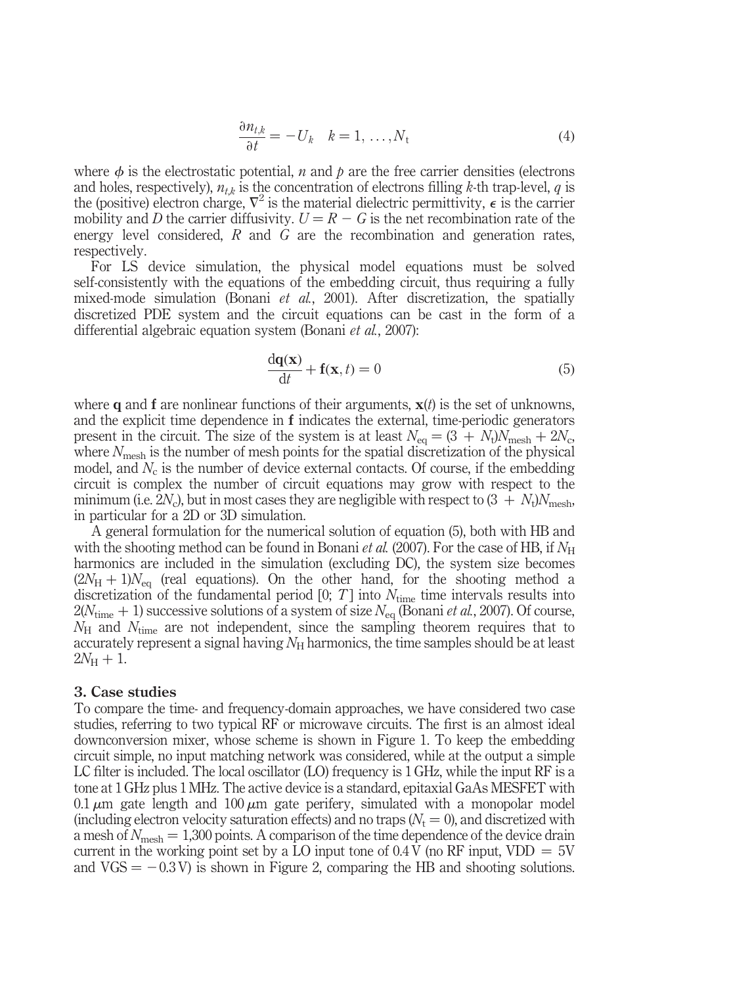$$
\frac{\partial n_{t,k}}{\partial t} = -U_k \quad k = 1, \dots, N_t \tag{4}
$$

where  $\phi$  is the electrostatic potential, *n* and *p* are the free carrier densities (electrons and holes, respectively),  $n_{t,k}$  is the concentration of electrons filling k-th trap-level, q is the (positive) electron charge,  $\nabla^2$  is the material dielectric permittivity,  $\epsilon$  is the carrier mobility and D the carrier diffusivity.  $U = R - G$  is the net recombination rate of the energy level considered,  $R$  and  $G$  are the recombination and generation rates, respectively.

For LS device simulation, the physical model equations must be solved self-consistently with the equations of the embedding circuit, thus requiring a fully mixed-mode simulation (Bonani et al., 2001). After discretization, the spatially discretized PDE system and the circuit equations can be cast in the form of a differential algebraic equation system (Bonani et al., 2007):

$$
\frac{d\mathbf{q}(\mathbf{x})}{dt} + \mathbf{f}(\mathbf{x}, t) = 0
$$
\n(5)

where **q** and **f** are nonlinear functions of their arguments,  $\mathbf{x}(t)$  is the set of unknowns, and the explicit time dependence in f indicates the external, time-periodic generators present in the circuit. The size of the system is at least  $N_{\text{eq}} = (3 + N_t)N_{\text{mesh}} + 2N_c$ , where  $N_{\text{mesh}}$  is the number of mesh points for the spatial discretization of the physical model, and  $N_c$  is the number of device external contacts. Of course, if the embedding circuit is complex the number of circuit equations may grow with respect to the minimum (i.e. 2N<sub>c</sub>), but in most cases they are negligible with respect to  $(3 + N_t)N_{\text{mesh}}$ , in particular for a 2D or 3D simulation.

A general formulation for the numerical solution of equation (5), both with HB and with the shooting method can be found in Bonani *et al.* (2007). For the case of HB, if  $N_{\rm H}$ harmonics are included in the simulation (excluding DC), the system size becomes  $(2N_{\rm H} + 1)N_{\rm eq}$  (real equations). On the other hand, for the shooting method a discretization of the fundamental period  $[0; T]$  into  $N_{time}$  time intervals results into  $2(N_{time} + 1)$  successive solutions of a system of size  $N_{eq}$  (Bonani *et al.*, 2007). Of course,  $N_{\rm H}$  and  $N_{\rm time}$  are not independent, since the sampling theorem requires that to accurately represent a signal having  $N_H$  harmonics, the time samples should be at least  $2N_{\rm H} + 1$ .

#### 3. Case studies

To compare the time- and frequency-domain approaches, we have considered two case studies, referring to two typical RF or microwave circuits. The first is an almost ideal downconversion mixer, whose scheme is shown in Figure 1. To keep the embedding circuit simple, no input matching network was considered, while at the output a simple LC filter is included. The local oscillator (LO) frequency is 1 GHz, while the input RF is a tone at 1 GHz plus 1 MHz. The active device is a standard, epitaxial GaAs MESFET with 0.1  $\mu$ m gate length and 100  $\mu$ m gate perifery, simulated with a monopolar model (including electron velocity saturation effects) and no traps  $(N_t = 0)$ , and discretized with a mesh of  $N_{\text{mesh}} = 1,300$  points. A comparison of the time dependence of the device drain current in the working point set by a LO input tone of  $0.4$  V (no RF input, VDD  $= 5V$ and  $VGS = -0.3 V$  is shown in Figure 2, comparing the HB and shooting solutions.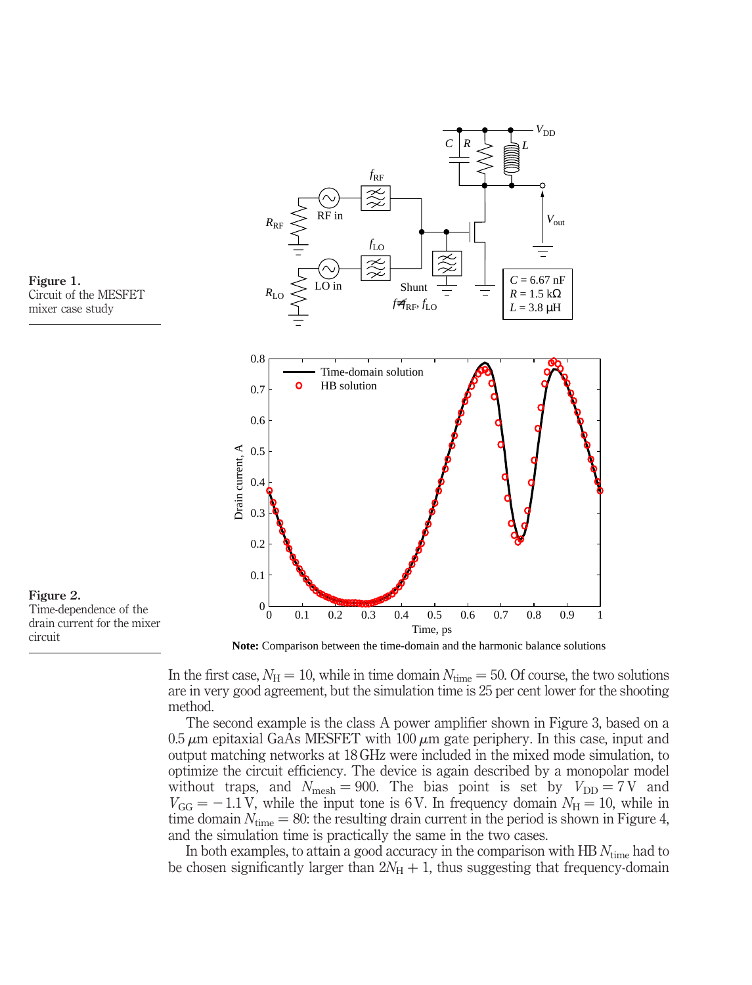

Figure 1. Circuit of the MESFET mixer case study

Figure 2.

circuit

Time-dependence of the drain current for the mixer

**Note:** Comparison between the time-domain and the harmonic balance solutions

In the first case,  $N_{\rm H} = 10$ , while in time domain  $N_{\rm time} = 50$ . Of course, the two solutions are in very good agreement, but the simulation time is 25 per cent lower for the shooting method.

The second example is the class A power amplifier shown in Figure 3, based on a  $0.5 \mu$ m epitaxial GaAs MESFET with 100  $\mu$ m gate periphery. In this case, input and output matching networks at 18 GHz were included in the mixed mode simulation, to optimize the circuit efficiency. The device is again described by a monopolar model without traps, and  $N_{\text{mesh}} = 900$ . The bias point is set by  $V_{\text{DD}} = 7 \text{ V}$  and  $V_{GG} = -1.1$  V, while the input tone is 6 V. In frequency domain  $N_H = 10$ , while in time domain  $N_{time} = 80$ : the resulting drain current in the period is shown in Figure 4, and the simulation time is practically the same in the two cases.

In both examples, to attain a good accuracy in the comparison with HB  $N_{time}$  had to be chosen significantly larger than  $2N<sub>H</sub> + 1$ , thus suggesting that frequency-domain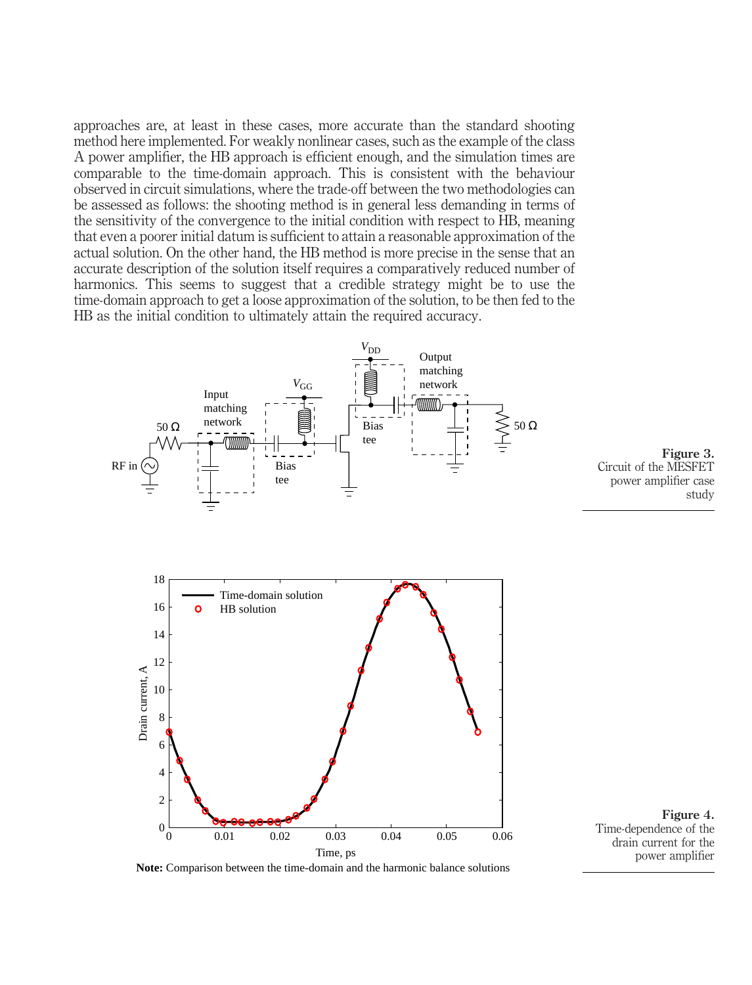approaches are, at least in these cases, more accurate than the standard shooting method here implemented. For weakly nonlinear cases, such as the example of the class A power amplifier, the HB approach is efficient enough, and the simulation times are comparable to the time-domain approach. This is consistent with the behaviour observed in circuit simulations, where the trade-off between the two methodologies can be assessed as follows: the shooting method is in general less demanding in terms of the sensitivity of the convergence to the initial condition with respect to HB, meaning that even a poorer initial datum is sufficient to attain a reasonable approximation of the actual solution. On the other hand, the HB method is more precise in the sense that an accurate description of the solution itself requires a comparatively reduced number of harmonics. This seems to suggest that a credible strategy might be to use the time-domain approach to get a loose approximation of the solution, to be then fed to the HB as the initial condition to ultimately attain the required accuracy.



Figure 3. Circuit of the MESFET power amplifier case study



**Note:** Comparison between the time-domain and the harmonic balance solutions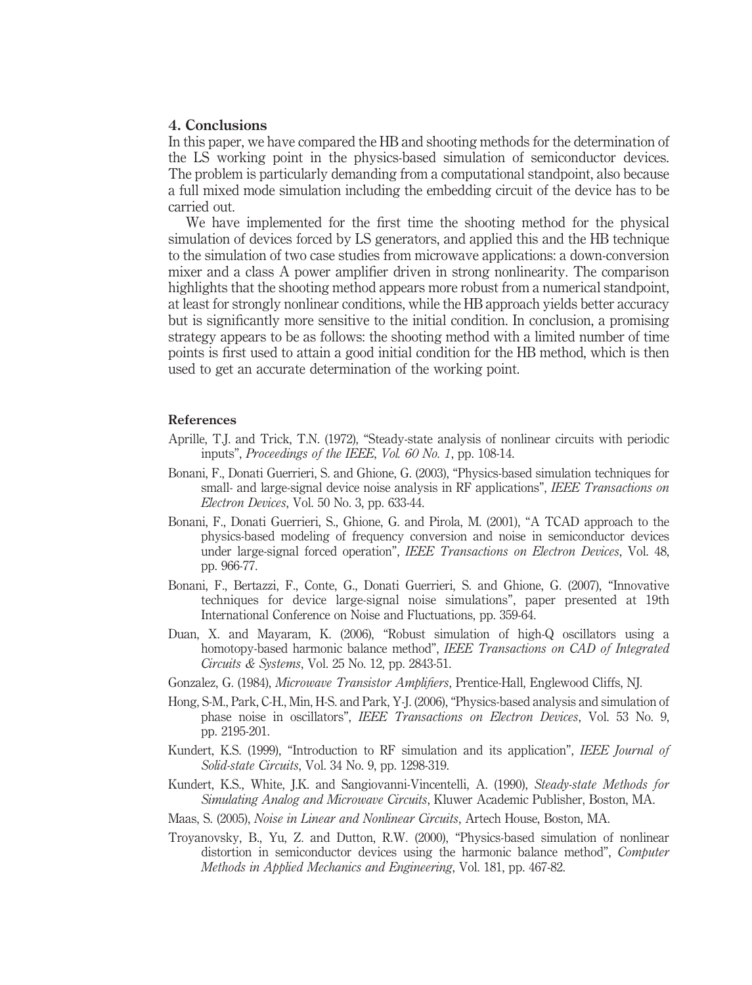### 4. Conclusions

In this paper, we have compared the HB and shooting methods for the determination of the LS working point in the physics-based simulation of semiconductor devices. The problem is particularly demanding from a computational standpoint, also because a full mixed mode simulation including the embedding circuit of the device has to be carried out.

We have implemented for the first time the shooting method for the physical simulation of devices forced by LS generators, and applied this and the HB technique to the simulation of two case studies from microwave applications: a down-conversion mixer and a class A power amplifier driven in strong nonlinearity. The comparison highlights that the shooting method appears more robust from a numerical standpoint, at least for strongly nonlinear conditions, while the HB approach yields better accuracy but is significantly more sensitive to the initial condition. In conclusion, a promising strategy appears to be as follows: the shooting method with a limited number of time points is first used to attain a good initial condition for the HB method, which is then used to get an accurate determination of the working point.

#### References

- Aprille, T.J. and Trick, T.N. (1972), "Steady-state analysis of nonlinear circuits with periodic inputs", Proceedings of the IEEE, Vol. 60 No. 1, pp. 108-14.
- Bonani, F., Donati Guerrieri, S. and Ghione, G. (2003), "Physics-based simulation techniques for small- and large-signal device noise analysis in RF applications", IEEE Transactions on Electron Devices, Vol. 50 No. 3, pp. 633-44.
- Bonani, F., Donati Guerrieri, S., Ghione, G. and Pirola, M. (2001), "A TCAD approach to the physics-based modeling of frequency conversion and noise in semiconductor devices under large-signal forced operation", IEEE Transactions on Electron Devices, Vol. 48, pp. 966-77.
- Bonani, F., Bertazzi, F., Conte, G., Donati Guerrieri, S. and Ghione, G. (2007), "Innovative techniques for device large-signal noise simulations", paper presented at 19th International Conference on Noise and Fluctuations, pp. 359-64.
- Duan, X. and Mayaram, K. (2006), "Robust simulation of high-Q oscillators using a homotopy-based harmonic balance method", IEEE Transactions on CAD of Integrated Circuits & Systems, Vol. 25 No. 12, pp. 2843-51.
- Gonzalez, G. (1984), Microwave Transistor Amplifiers, Prentice-Hall, Englewood Cliffs, NJ.
- Hong, S-M., Park, C-H., Min, H-S. and Park, Y-J. (2006), "Physics-based analysis and simulation of phase noise in oscillators", IEEE Transactions on Electron Devices, Vol. 53 No. 9, pp. 2195-201.
- Kundert, K.S. (1999), "Introduction to RF simulation and its application", IEEE Journal of Solid-state Circuits, Vol. 34 No. 9, pp. 1298-319.
- Kundert, K.S., White, J.K. and Sangiovanni-Vincentelli, A. (1990), Steady-state Methods for Simulating Analog and Microwave Circuits, Kluwer Academic Publisher, Boston, MA.
- Maas, S. (2005), Noise in Linear and Nonlinear Circuits, Artech House, Boston, MA.
- Troyanovsky, B., Yu, Z. and Dutton, R.W. (2000), "Physics-based simulation of nonlinear distortion in semiconductor devices using the harmonic balance method", Computer Methods in Applied Mechanics and Engineering, Vol. 181, pp. 467-82.